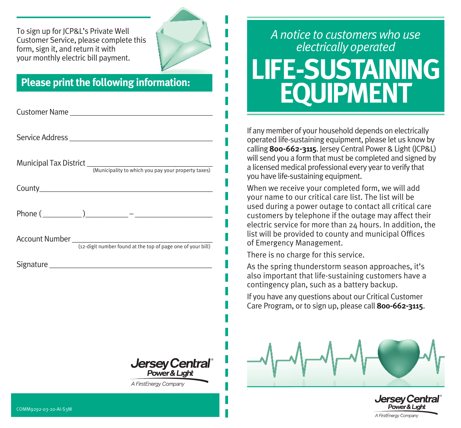To sign up for JCP&L's Private Well Customer Service, please complete this form, sign it, and return it with your monthly electric bill payment.

## **Please print the following information:**

| Customer Name <b>Customer Name</b> |
|------------------------------------|
|                                    |
|                                    |
|                                    |
|                                    |
|                                    |
| Signature Signature                |
|                                    |
|                                    |
|                                    |
|                                    |
| Jersey Central®                    |
| A FirstEnergy Company              |

## *A notice to customers who use electrically operated* **LIFE-SUSTAINING EQUIPMENT**

If any member of your household depends on electrically operated life-sustaining equipment, please let us know by calling **800-662-3115**. Jersey Central Power & Light (JCP&L) will send you a form that must be completed and signed by a licensed medical professional every year to verify that you have life-sustaining equipment.

When we receive your completed form, we will add your name to our critical care list. The list will be used during a power outage to contact all critical care customers by telephone if the outage may affect their electric service for more than 24 hours. In addition, the list will be provided to county and municipal Offices of Emergency Management.

There is no charge for this service.

As the spring thunderstorm season approaches, it's also important that life-sustaining customers have a contingency plan, such as a battery backup.

If you have any questions about our Critical Customer Care Program, or to sign up, please call **800-662-3115**.